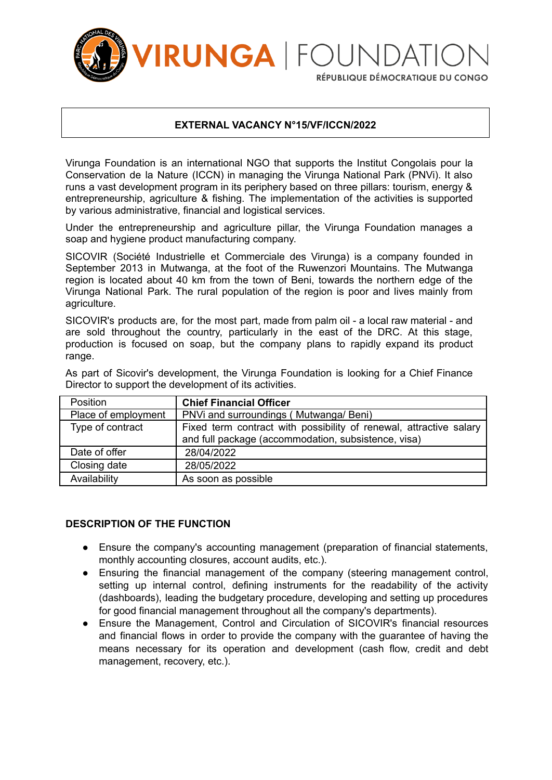

RÉPUBLIQUE DÉMOCRATIQUE DU CONGO

### **EXTERNAL VACANCY N°15/VF/ICCN/2022**

Virunga Foundation is an international NGO that supports the Institut Congolais pour la Conservation de la Nature (ICCN) in managing the Virunga National Park (PNVi). It also runs a vast development program in its periphery based on three pillars: tourism, energy & entrepreneurship, agriculture & fishing. The implementation of the activities is supported by various administrative, financial and logistical services.

Under the entrepreneurship and agriculture pillar, the Virunga Foundation manages a soap and hygiene product manufacturing company.

SICOVIR (Société Industrielle et Commerciale des Virunga) is a company founded in September 2013 in Mutwanga, at the foot of the Ruwenzori Mountains. The Mutwanga region is located about 40 km from the town of Beni, towards the northern edge of the Virunga National Park. The rural population of the region is poor and lives mainly from agriculture.

SICOVIR's products are, for the most part, made from palm oil - a local raw material - and are sold throughout the country, particularly in the east of the DRC. At this stage, production is focused on soap, but the company plans to rapidly expand its product range.

| Position            | <b>Chief Financial Officer</b>                                                                                            |
|---------------------|---------------------------------------------------------------------------------------------------------------------------|
| Place of employment | PNVi and surroundings (Mutwanga/Beni)                                                                                     |
| Type of contract    | Fixed term contract with possibility of renewal, attractive salary<br>and full package (accommodation, subsistence, visa) |
| Date of offer       | 28/04/2022                                                                                                                |
| Closing date        | 28/05/2022                                                                                                                |
| Availability        | As soon as possible                                                                                                       |

As part of Sicovir's development, the Virunga Foundation is looking for a Chief Finance Director to support the development of its activities.

# **DESCRIPTION OF THE FUNCTION**

- Ensure the company's accounting management (preparation of financial statements, monthly accounting closures, account audits, etc.).
- Ensuring the financial management of the company (steering management control, setting up internal control, defining instruments for the readability of the activity (dashboards), leading the budgetary procedure, developing and setting up procedures for good financial management throughout all the company's departments).
- Ensure the Management, Control and Circulation of SICOVIR's financial resources and financial flows in order to provide the company with the guarantee of having the means necessary for its operation and development (cash flow, credit and debt management, recovery, etc.).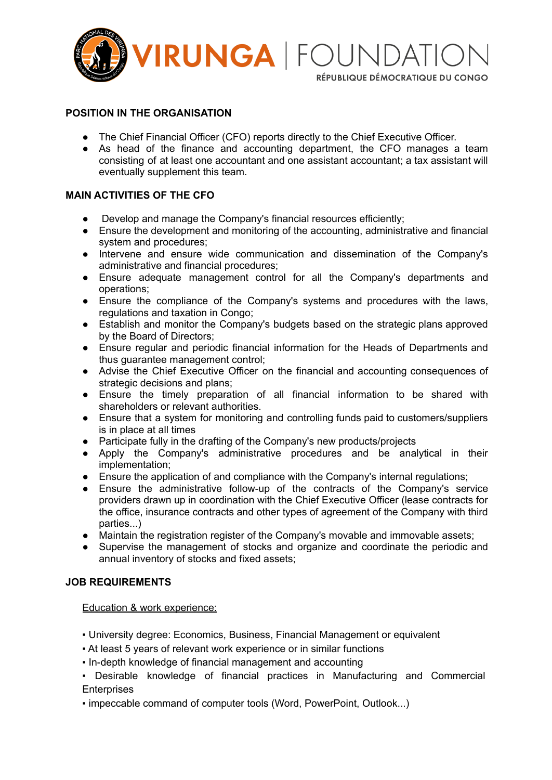

RÉPUBLIQUE DÉMOCRATIQUE DU CONGO

### **POSITION IN THE ORGANISATION**

- The Chief Financial Officer (CFO) reports directly to the Chief Executive Officer.
- As head of the finance and accounting department, the CFO manages a team consisting of at least one accountant and one assistant accountant; a tax assistant will eventually supplement this team.

### **MAIN ACTIVITIES OF THE CFO**

- Develop and manage the Company's financial resources efficiently;
- Ensure the development and monitoring of the accounting, administrative and financial system and procedures;
- Intervene and ensure wide communication and dissemination of the Company's administrative and financial procedures;
- Ensure adequate management control for all the Company's departments and operations;
- Ensure the compliance of the Company's systems and procedures with the laws, regulations and taxation in Congo;
- Establish and monitor the Company's budgets based on the strategic plans approved by the Board of Directors;
- Ensure regular and periodic financial information for the Heads of Departments and thus guarantee management control;
- Advise the Chief Executive Officer on the financial and accounting consequences of strategic decisions and plans;
- Ensure the timely preparation of all financial information to be shared with shareholders or relevant authorities.
- Ensure that a system for monitoring and controlling funds paid to customers/suppliers is in place at all times
- Participate fully in the drafting of the Company's new products/projects
- Apply the Company's administrative procedures and be analytical in their implementation;
- Ensure the application of and compliance with the Company's internal regulations;
- Ensure the administrative follow-up of the contracts of the Company's service providers drawn up in coordination with the Chief Executive Officer (lease contracts for the office, insurance contracts and other types of agreement of the Company with third parties...)
- Maintain the registration register of the Company's movable and immovable assets;
- Supervise the management of stocks and organize and coordinate the periodic and annual inventory of stocks and fixed assets;

# **JOB REQUIREMENTS**

Education & work experience:

- University degree: Economics, Business, Financial Management or equivalent
- At least 5 years of relevant work experience or in similar functions
- In-depth knowledge of financial management and accounting
- Desirable knowledge of financial practices in Manufacturing and Commercial **Enterprises**
- impeccable command of computer tools (Word, PowerPoint, Outlook...)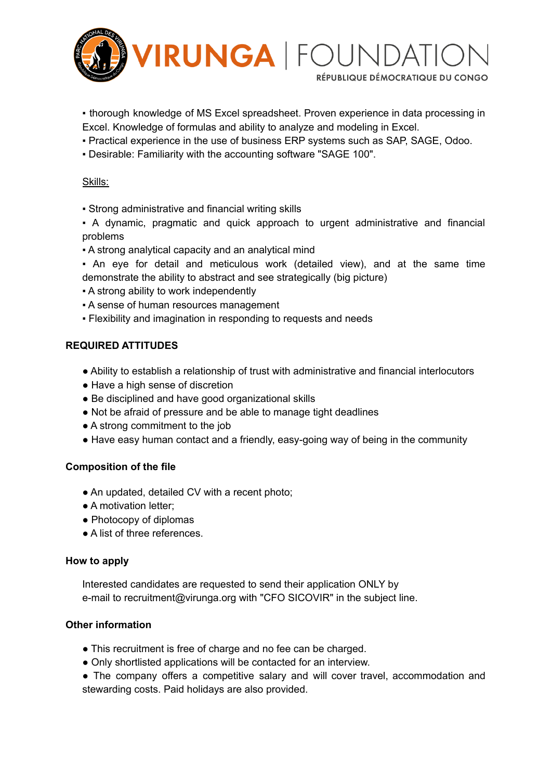

- thorough knowledge of MS Excel spreadsheet. Proven experience in data processing in
- Excel. Knowledge of formulas and ability to analyze and modeling in Excel.
- Practical experience in the use of business ERP systems such as SAP, SAGE, Odoo.
- Desirable: Familiarity with the accounting software "SAGE 100".

### Skills:

- Strong administrative and financial writing skills
- A dynamic, pragmatic and quick approach to urgent administrative and financial problems
- A strong analytical capacity and an analytical mind
- An eye for detail and meticulous work (detailed view), and at the same time demonstrate the ability to abstract and see strategically (big picture)
- A strong ability to work independently
- **A sense of human resources management**
- Flexibility and imagination in responding to requests and needs

### **REQUIRED ATTITUDES**

- Ability to establish a relationship of trust with administrative and financial interlocutors
- Have a high sense of discretion
- Be disciplined and have good organizational skills
- Not be afraid of pressure and be able to manage tight deadlines
- A strong commitment to the job
- Have easy human contact and a friendly, easy-going way of being in the community

# **Composition of the file**

- An updated, detailed CV with a recent photo;
- A motivation letter;
- Photocopy of diplomas
- A list of three references.

#### **How to apply**

Interested candidates are requested to send their application ONLY by e-mail to recruitment@virunga.org with "CFO SICOVIR" in the subject line.

# **Other information**

- This recruitment is free of charge and no fee can be charged.
- Only shortlisted applications will be contacted for an interview.
- The company offers a competitive salary and will cover travel, accommodation and stewarding costs. Paid holidays are also provided.